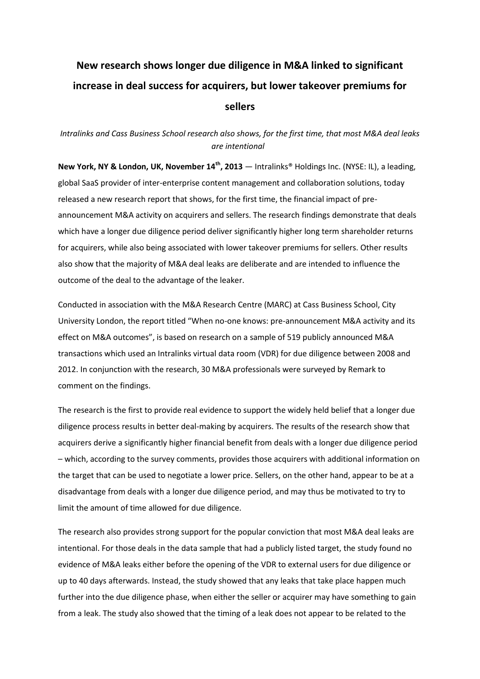# **New research shows longer due diligence in M&A linked to significant increase in deal success for acquirers, but lower takeover premiums for sellers**

# *Intralinks and Cass Business School research also shows, for the first time, that most M&A deal leaks are intentional*

**New York, NY & London, UK, November 14th, 2013** — Intralinks® Holdings Inc. (NYSE: IL), a leading, global SaaS provider of inter-enterprise content management and collaboration solutions, today released a new research report that shows, for the first time, the financial impact of preannouncement M&A activity on acquirers and sellers. The research findings demonstrate that deals which have a longer due diligence period deliver significantly higher long term shareholder returns for acquirers, while also being associated with lower takeover premiums for sellers. Other results also show that the majority of M&A deal leaks are deliberate and are intended to influence the outcome of the deal to the advantage of the leaker.

Conducted in association with the M&A Research Centre (MARC) at Cass Business School, City University London, the report titled "When no-one knows: pre-announcement M&A activity and its effect on M&A outcomes", is based on research on a sample of 519 publicly announced M&A transactions which used an Intralinks virtual data room (VDR) for due diligence between 2008 and 2012. In conjunction with the research, 30 M&A professionals were surveyed by Remark to comment on the findings.

The research is the first to provide real evidence to support the widely held belief that a longer due diligence process results in better deal-making by acquirers. The results of the research show that acquirers derive a significantly higher financial benefit from deals with a longer due diligence period – which, according to the survey comments, provides those acquirers with additional information on the target that can be used to negotiate a lower price. Sellers, on the other hand, appear to be at a disadvantage from deals with a longer due diligence period, and may thus be motivated to try to limit the amount of time allowed for due diligence.

The research also provides strong support for the popular conviction that most M&A deal leaks are intentional. For those deals in the data sample that had a publicly listed target, the study found no evidence of M&A leaks either before the opening of the VDR to external users for due diligence or up to 40 days afterwards. Instead, the study showed that any leaks that take place happen much further into the due diligence phase, when either the seller or acquirer may have something to gain from a leak. The study also showed that the timing of a leak does not appear to be related to the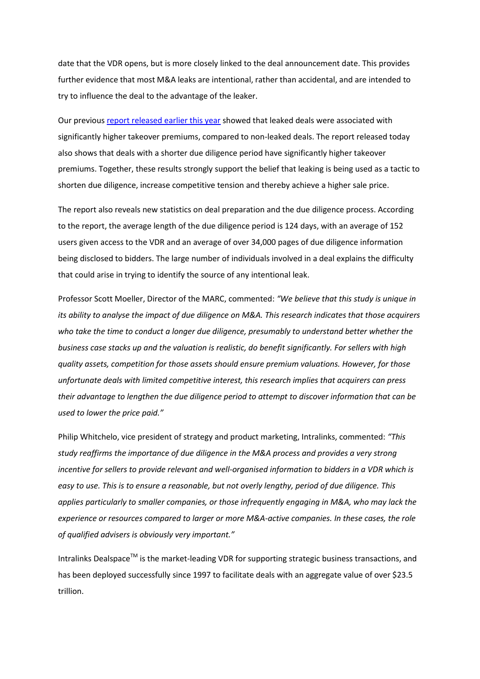date that the VDR opens, but is more closely linked to the deal announcement date. This provides further evidence that most M&A leaks are intentional, rather than accidental, and are intended to try to influence the deal to the advantage of the leaker.

Our previous [report released earlier this year](http://www.morethanavdr.com/Intralinks_M&A_Confidential_report.pdf) showed that leaked deals were associated with significantly higher takeover premiums, compared to non-leaked deals. The report released today also shows that deals with a shorter due diligence period have significantly higher takeover premiums. Together, these results strongly support the belief that leaking is being used as a tactic to shorten due diligence, increase competitive tension and thereby achieve a higher sale price.

The report also reveals new statistics on deal preparation and the due diligence process. According to the report, the average length of the due diligence period is 124 days, with an average of 152 users given access to the VDR and an average of over 34,000 pages of due diligence information being disclosed to bidders. The large number of individuals involved in a deal explains the difficulty that could arise in trying to identify the source of any intentional leak.

Professor Scott Moeller, Director of the MARC, commented: *"We believe that this study is unique in its ability to analyse the impact of due diligence on M&A. This research indicates that those acquirers who take the time to conduct a longer due diligence, presumably to understand better whether the business case stacks up and the valuation is realistic, do benefit significantly. For sellers with high quality assets, competition for those assets should ensure premium valuations. However, for those unfortunate deals with limited competitive interest, this research implies that acquirers can press their advantage to lengthen the due diligence period to attempt to discover information that can be used to lower the price paid."*

Philip Whitchelo, vice president of strategy and product marketing, Intralinks, commented: *"This study reaffirms the importance of due diligence in the M&A process and provides a very strong incentive for sellers to provide relevant and well-organised information to bidders in a VDR which is easy to use. This is to ensure a reasonable, but not overly lengthy, period of due diligence. This applies particularly to smaller companies, or those infrequently engaging in M&A, who may lack the experience or resources compared to larger or more M&A-active companies. In these cases, the role of qualified advisers is obviously very important."*

Intralinks Dealspace<sup>TM</sup> is the market-leading VDR for supporting strategic business transactions, and has been deployed successfully since 1997 to facilitate deals with an aggregate value of over \$23.5 trillion.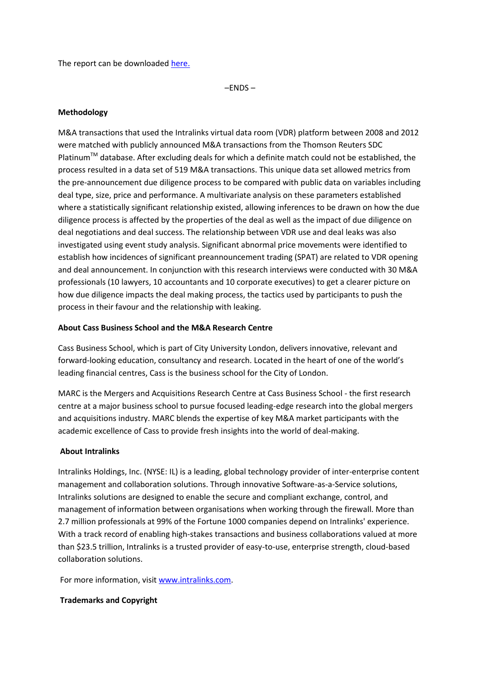The report can be downloaded [here.](http://www.morethanavdr.com/?utm_source=media&utm_medium=pressrelease&utm_campaign=cass)

–ENDS –

#### **Methodology**

M&A transactions that used the Intralinks virtual data room (VDR) platform between 2008 and 2012 were matched with publicly announced M&A transactions from the Thomson Reuters SDC Platinum<sup>™</sup> database. After excluding deals for which a definite match could not be established, the process resulted in a data set of 519 M&A transactions. This unique data set allowed metrics from the pre-announcement due diligence process to be compared with public data on variables including deal type, size, price and performance. A multivariate analysis on these parameters established where a statistically significant relationship existed, allowing inferences to be drawn on how the due diligence process is affected by the properties of the deal as well as the impact of due diligence on deal negotiations and deal success. The relationship between VDR use and deal leaks was also investigated using event study analysis. Significant abnormal price movements were identified to establish how incidences of significant preannouncement trading (SPAT) are related to VDR opening and deal announcement. In conjunction with this research interviews were conducted with 30 M&A professionals (10 lawyers, 10 accountants and 10 corporate executives) to get a clearer picture on how due diligence impacts the deal making process, the tactics used by participants to push the process in their favour and the relationship with leaking.

#### **About Cass Business School and the M&A Research Centre**

Cass Business School, which is part of City University London, delivers innovative, relevant and forward-looking education, consultancy and research. Located in the heart of one of the world's leading financial centres, Cass is the business school for the City of London.

MARC is the Mergers and Acquisitions Research Centre at Cass Business School - the first research centre at a major business school to pursue focused leading-edge research into the global mergers and acquisitions industry. MARC blends the expertise of key M&A market participants with the academic excellence of Cass to provide fresh insights into the world of deal-making.

## **About Intralinks**

Intralinks Holdings, Inc. (NYSE: IL) is a leading, global technology provider of inter-enterprise content management and collaboration solutions. Through innovative Software-as-a-Service solutions, Intralinks solutions are designed to enable the secure and compliant exchange, control, and management of information between organisations when working through the firewall. More than 2.7 million professionals at 99% of the Fortune 1000 companies depend on Intralinks' experience. With a track record of enabling high-stakes transactions and business collaborations valued at more than \$23.5 trillion, Intralinks is a trusted provider of easy-to-use, enterprise strength, cloud-based collaboration solutions.

For more information, visit [www.intralinks.com.](http://www.intralinks.com/)

## **Trademarks and Copyright**